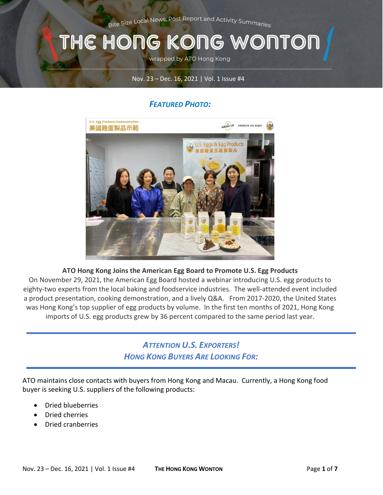Bite Size Local News, Post Report and Activity Summaries

### THE HONG KONG WONTOI

wrapped by ATO Hong Kong

#### Nov. 23 – Dec. 16, 2021 | Vol. 1 Issue #4

### *FEATURED PHOTO:*



#### **ATO Hong Kong Joins the American Egg Board to Promote U.S. Egg Products**

On November 29, 2021, the American Egg Board hosted a webinar introducing U.S. egg products to eighty-two experts from the local baking and foodservice industries. The well-attended event included a product presentation, cooking demonstration, and a lively Q&A. From 2017-2020, the United States was Hong Kong's top supplier of egg products by volume. In the first ten months of 2021, Hong Kong imports of U.S. egg products grew by 36 percent compared to the same period last year.

### *ATTENTION U.S. EXPORTERS! HONG KONG BUYERS ARE LOOKING FOR:*

ATO maintains close contacts with buyers from Hong Kong and Macau. Currently, a Hong Kong food buyer is seeking U.S. suppliers of the following products:

- Dried blueberries
- Dried cherries
- Dried cranberries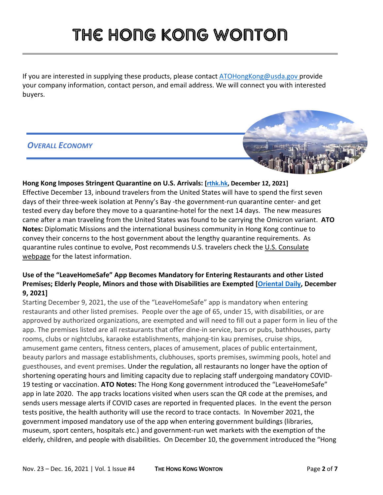If you are interested in supplying these products, please contac[t ATOHongKong@usda.gov](mailto:ATOHongKong@usda.gov) provide your company information, contact person, and email address. We will connect you with interested buyers.

#### *OVERALL ECONOMY*



### **Hong Kong Imposes Stringent Quarantine on U.S. Arrivals: [\[rthk.hk,](https://news.rthk.hk/rthk/en/component/k2/1623700-20211210.htm) December 12, 2021]**

Effective December 13, inbound travelers from the United States will have to spend the first seven days of their three-week isolation at Penny's Bay -the government-run quarantine center- and get tested every day before they move to a quarantine-hotel for the next 14 days. The new measures came after a man traveling from the United States was found to be carrying the Omicron variant. **ATO Notes:** Diplomatic Missions and the international business community in Hong Kong continue to convey their concerns to the host government about the lengthy quarantine requirements. As quarantine rules continue to evolve, Post recommends U.S. travelers check the U.S. Consulate [webpage](https://hk.usconsulate.gov/) for the latest information.

#### **Use of the "LeaveHomeSafe" App Becomes Mandatory for Entering Restaurants and other Listed Premises; Elderly People, Minors and those with Disabilities are Exempted [\[Oriental Daily,](https://hk.on.cc/hk/bkn/cnt/news/20211209/bkn-20211209083656866-1209_00822_001.html) December 9, 2021]**

Starting December 9, 2021, the use of the "LeaveHomeSafe" app is mandatory when entering restaurants and other listed premises. People over the age of 65, under 15, with disabilities, or are approved by authorized organizations, are exempted and will need to fill out a paper form in lieu of the app. The premises listed are all restaurants that offer dine-in service, bars or pubs, bathhouses, party rooms, clubs or nightclubs, karaoke establishments, mahjong-tin kau premises, cruise ships, amusement game centers, fitness centers, places of amusement, places of public entertainment, beauty parlors and massage establishments, clubhouses, sports premises, swimming pools, hotel and guesthouses, and event premises. Under the regulation, all restaurants no longer have the option of shortening operating hours and limiting capacity due to replacing staff undergoing mandatory COVID-19 testing or vaccination. **ATO Notes:** The Hong Kong government introduced the "LeaveHomeSafe" app in late 2020. The app tracks locations visited when users scan the QR code at the premises, and sends users message alerts if COVID cases are reported in frequented places. In the event the person tests positive, the health authority will use the record to trace contacts. In November 2021, the government imposed mandatory use of the app when entering government buildings (libraries, museum, sport centers, hospitals etc.) and government-run wet markets with the exemption of the elderly, children, and people with disabilities. On December 10, the government introduced the "Hong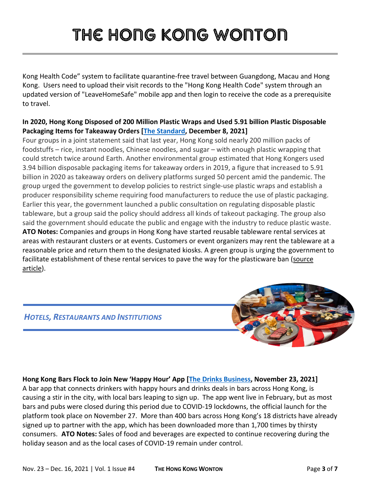Kong Health Code" system to facilitate quarantine-free travel between Guangdong, Macau and Hong Kong. Users need to upload their visit records to the "Hong Kong Health Code" system through an updated version of "LeaveHomeSafe" mobile app and then login to receive the code as a prerequisite to travel.

#### **In 2020, Hong Kong Disposed of 200 Million Plastic Wraps and Used 5.91 billion Plastic Disposable Packaging Items for Takeaway Orders [\[The Standard,](https://www.thestandard.com.hk/section-news/section/11/236825/Plastic--wrapped-HK-rapped) December 8, 2021]**

Four groups in a joint statement said that last year, Hong Kong sold nearly 200 million packs of foodstuffs – rice, instant noodles, Chinese noodles, and sugar – with enough plastic wrapping that could stretch twice around Earth. Another environmental group estimated that Hong Kongers used 3.94 billion disposable packaging items for takeaway orders in 2019, a figure that increased to 5.91 billion in 2020 as takeaway orders on delivery platforms surged 50 percent amid the pandemic. The group urged the government to develop policies to restrict single-use plastic wraps and establish a producer responsibility scheme requiring food manufacturers to reduce the use of plastic packaging. Earlier this year, the government launched a public consultation on regulating disposable plastic tableware, but a group said the policy should address all kinds of takeout packaging. The group also said the government should educate the public and engage with the industry to reduce plastic waste. **ATO Notes:** Companies and groups in Hong Kong have started reusable tableware rental services at areas with restaurant clusters or at events. Customers or event organizers may rent the tableware at a reasonable price and return them to the designated kiosks. A green group is urging the government to facilitate establishment of these rental services to pave the way for the plasticware ban [\(source](https://www.hk01.com/%E7%A4%BE%E6%9C%83%E6%96%B0%E8%81%9E/684375/%E6%86%82%E7%AE%A1%E5%88%B6%E5%8D%B3%E6%A3%84%E9%A4%90%E5%85%B7%E8%AE%8A%E5%BB%A2%E7%89%A9%E8%BD%89%E7%A7%BB-%E7%92%B0%E5%9C%98%E7%B1%B2%E6%94%BF%E5%BA%9C%E5%BC%95%E9%A4%90%E5%85%B7%E7%A7%9F%E5%80%9F%E6%9C%8D%E5%8B%99%E5%A4%9A%E8%A8%AD%E5%9B%9E%E6%94%B6%E9%BB%9E)  [article\)](https://www.hk01.com/%E7%A4%BE%E6%9C%83%E6%96%B0%E8%81%9E/684375/%E6%86%82%E7%AE%A1%E5%88%B6%E5%8D%B3%E6%A3%84%E9%A4%90%E5%85%B7%E8%AE%8A%E5%BB%A2%E7%89%A9%E8%BD%89%E7%A7%BB-%E7%92%B0%E5%9C%98%E7%B1%B2%E6%94%BF%E5%BA%9C%E5%BC%95%E9%A4%90%E5%85%B7%E7%A7%9F%E5%80%9F%E6%9C%8D%E5%8B%99%E5%A4%9A%E8%A8%AD%E5%9B%9E%E6%94%B6%E9%BB%9E).



#### **Hong Kong Bars Flock to Join New 'Happy Hour' App [\[The Drinks](https://gcc02.safelinks.protection.outlook.com/?url=https%3A%2F%2Fwww.thedrinksbusiness.com%2F2021%2F11%2Fhong-kong-bars-flock-to-join-new-happy-hour-app-ahead-of-its-official-launch%2F&data=04%7C01%7CLeungAY%40state.gov%7C762a69d607774def841308d9b0ab0fd4%7C66cf50745afe48d1a691a12b2121f44b%7C0%7C0%7C637735071009612099%7CUnknown%7CTWFpbGZsb3d8eyJWIjoiMC4wLjAwMDAiLCJQIjoiV2luMzIiLCJBTiI6Ik1haWwiLCJXVCI6Mn0%3D%7C3000&sdata=DVb3CF38Y%2F%2FBUjcuhn8BitN%2FmEzzX9gjyCMaO0kIVQU%3D&reserved=0) Business, November 23, 2021]**

A bar app that connects drinkers with happy hours and drinks deals in bars across Hong Kong, is causing a stir in the city, with local bars leaping to sign up. The app went live in February, but as most bars and pubs were closed during this period due to COVID-19 lockdowns, the official launch for the platform took place on November 27. More than 400 bars across Hong Kong's 18 districts have already signed up to partner with the app, which has been downloaded more than 1,700 times by thirsty consumers. **ATO Notes:** Sales of food and beverages are expected to continue recovering during the holiday season and as the local cases of COVID-19 remain under control.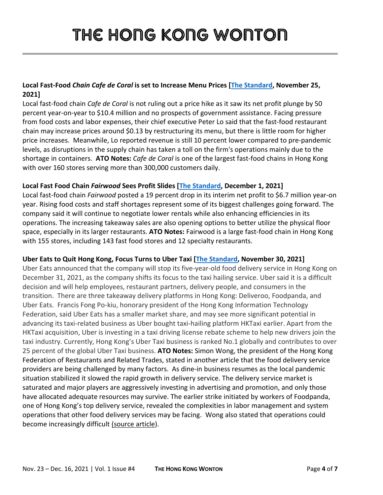#### **Local Fast-Food** *Chain Cafe de Coral* **is set to Increase Menu Prices [\[The Standard,](https://www.thestandard.com.hk/section-news/section/2/236388/Cafe-de-Coral-menu-may-see-$1-price-hike) November 25, 2021]**

Local fast-food chain *Cafe de Coral* is not ruling out a price hike as it saw its net profit plunge by 50 percent year-on-year to \$10.4 million and no prospects of government assistance. Facing pressure from food costs and labor expenses, their chief executive Peter Lo said that the fast-food restaurant chain may increase prices around \$0.13 by restructuring its menu, but there is little room for higher price increases. Meanwhile, Lo reported revenue is still 10 percent lower compared to pre-pandemic levels, as disruptions in the supply chain has taken a toll on the firm's operations mainly due to the shortage in containers. **ATO Notes:** *Cafe de Coral* is one of the largest fast-food chains in Hong Kong with over 160 stores serving more than 300,000 customers daily.

#### **Local Fast Food Chain** *Fairwood* **Sees Profit Slides [\[The Standard,](https://www.thestandard.com.hk/section-news/section/2/236558/Fairwood-slips-as-profit-slides-19pc-to-$52m) December 1, 2021]**

Local fast-food chain *Fairwood* posted a 19 percent drop in its interim net profit to \$6.7 million year-on year. Rising food costs and staff shortages represent some of its biggest challenges going forward. The company said it will continue to negotiate lower rentals while also enhancing efficiencies in its operations. The increasing takeaway sales are also opening options to better utilize the physical floor space, especially in its larger restaurants. **ATO Notes:** Fairwood is a large fast-food chain in Hong Kong with 155 stores, including 143 fast food stores and 12 specialty restaurants.

#### **Uber Eats to Quit Hong Kong, Focus Turns to Uber Taxi [\[The Standard,](https://www.thestandard.com.hk/breaking-news/section/4/183708/Uber-Eats-to-quit-Hong-Kong,-focus-turns-to-Uber-Taxi%C2%A0) November 30, 2021]**

Uber Eats announced that the company will stop its five-year-old food delivery service in Hong Kong on December 31, 2021, as the company shifts its focus to the taxi hailing service. Uber said it is a difficult decision and will help employees, restaurant partners, delivery people, and consumers in the transition. There are three takeaway delivery platforms in Hong Kong: Deliveroo, Foodpanda, and Uber Eats. Francis Fong Po-kiu, honorary president of the Hong Kong Information Technology Federation, said Uber Eats has a smaller market share, and may see more significant potential in advancing its taxi-related business as Uber bought taxi-hailing platform HKTaxi earlier. Apart from the HKTaxi acquisition, Uber is investing in a taxi driving license rebate scheme to help new drivers join the taxi industry. Currently, Hong Kong's Uber Taxi business is ranked No.1 globally and contributes to over 25 percent of the global Uber Taxi business. **ATO Notes:** Simon Wong, the president of the Hong Kong Federation of Restaurants and Related Trades, stated in another article that the food delivery service providers are being challenged by many factors. As dine-in business resumes as the local pandemic situation stabilized it slowed the rapid growth in delivery service. The delivery service market is saturated and major players are aggressively investing in advertising and promotion, and only those have allocated adequate resources may survive. The earlier strike initiated by workers of Foodpanda, one of Hong Kong's top delivery service, revealed the complexities in labor management and system operations that other food delivery services may be facing. Wong also stated that operations could become increasingly difficult [\(source article\)](https://www.hk01.com/%E7%A4%BE%E6%9C%83%E6%96%B0%E8%81%9E/706545/uber-eats%E9%A6%99%E6%B8%AF%E5%B9%B4%E5%BA%95%E5%81%9C%E9%81%8B-%E4%B8%89%E9%9B%84%E9%BC%8E%E7%AB%8B%E5%B1%80%E9%9D%A2%E4%B8%8D%E5%86%8D-%E6%A5%AD%E7%95%8C%E5%89%96%E6%9E%903%E5%A4%A7%E7%94%9F%E5%AD%98%E6%8C%91%E6%88%B0).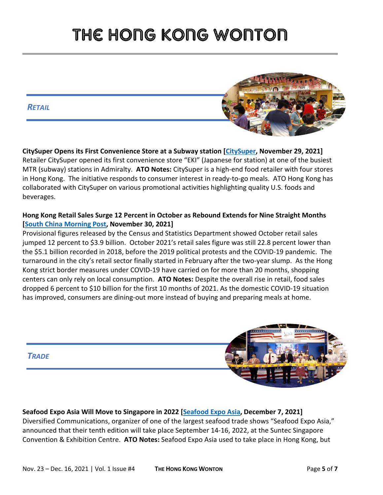*RETAIL*



**CitySuper Opens its First Convenience Store at a Subway station [\[CitySuper,](https://online.citysuper.com.hk/blogs/news/eki-store-opening) November 29, 2021]**  Retailer CitySuper opened its first convenience store "EKI" (Japanese for station) at one of the busiest MTR (subway) stations in Admiralty. **ATO Notes:** CitySuper is a high-end food retailer with four stores in Hong Kong. The initiative responds to consumer interest in ready-to-go meals. ATO Hong Kong has collaborated with CitySuper on various promotional activities highlighting quality U.S. foods and beverages.

#### **Hong Kong Retail Sales Surge 12 Percent in October as Rebound Extends for Nine Straight Months [\[South China Morning Post,](https://www.scmp.com/news/hong-kong/hong-kong-economy/article/3157887/hong-kong-retail-sales-surge-12-cent-october) November 30, 2021]**

Provisional figures released by the Census and Statistics Department showed October retail sales jumped 12 percent to \$3.9 billion. October 2021's retail sales figure was still 22.8 percent lower than the \$5.1 billion recorded in 2018, before the 2019 political protests and the COVID-19 pandemic. The turnaround in the city's retail sector finally started in February after the two-year slump. As the Hong Kong strict border measures under COVID-19 have carried on for more than 20 months, shopping centers can only rely on local consumption. **ATO Notes:** Despite the overall rise in retail, food sales dropped 6 percent to \$10 billion for the first 10 months of 2021. As the domestic COVID-19 situation has improved, consumers are dining-out more instead of buying and preparing meals at home.



**Seafood Expo Asia Will Move to Singapore in 2022 [\[Seafood Expo Asia,](https://www.seafoodexpo.com/asia/seafood-expo-asia-to-set-tenth-edition-in-singapore-in-2022/) December 7, 2021]**  Diversified Communications, organizer of one of the largest seafood trade shows "Seafood Expo Asia," announced that their tenth edition will take place September 14-16, 2022, at the Suntec Singapore Convention & Exhibition Centre. **ATO Notes:** Seafood Expo Asia used to take place in Hong Kong, but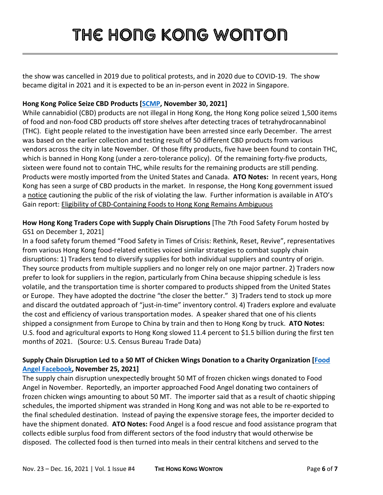the show was cancelled in 2019 due to political protests, and in 2020 due to COVID-19. The show became digital in 2021 and it is expected to be an in-person event in 2022 in Singapore.

#### **Hong Kong Police Seize CBD Products [\[SCMP,](https://www.scmp.com/news/hong-kong/law-and-crime/article/3157939/hong-kong-police-arrest-8-seize-1500-cbd-items-store) November 30, 2021]**

While cannabidiol (CBD) products are not illegal in Hong Kong, the Hong Kong police seized 1,500 items of food and non-food CBD products off store shelves after detecting traces of tetrahydrocannabinol (THC). Eight people related to the investigation have been arrested since early December. The arrest was based on the earlier collection and testing result of 50 different CBD products from various vendors across the city in late November. Of those fifty products, five have been found to contain THC, which is banned in Hong Kong (under a zero-tolerance policy). Of the remaining forty-five products, sixteen were found not to contain THC, while results for the remaining products are still pending. Products were mostly imported from the United States and Canada. **ATO Notes:** In recent years, Hong Kong has seen a surge of CBD products in the market. In response, the Hong Kong government issued a [notice](https://www.nd.gov.hk/pdf/CBD_Information_Note_English.pdf) cautioning the public of the risk of violating the law. Further information is available in ATO's Gain report: [Eligibility of CBD-Containing Foods to Hong Kong Remains Ambiguous](https://www.fas.usda.gov/data/hong-kong-eligibility-cbd-containing-foods-hong-kong-remains-ambiguous#:%7E:text=The%20eligibility%20of%20food%20and,in%20CBD%20and%20CBD%20products.&text=However%2C%20there%20are%20no%20reported,selling%20products%20containing%20CBD%20ingredients.) 

**How Hong Kong Traders Cope with Supply Chain Disruptions** [The 7th Food Safety Forum hosted by GS1 on December 1, 2021]

In a food safety forum themed "Food Safety in Times of Crisis: Rethink, Reset, Revive", representatives from various Hong Kong food-related entities voiced similar strategies to combat supply chain disruptions: 1) Traders tend to diversify supplies for both individual suppliers and country of origin. They source products from multiple suppliers and no longer rely on one major partner. 2) Traders now prefer to look for suppliers in the region, particularly from China because shipping schedule is less volatile, and the transportation time is shorter compared to products shipped from the United States or Europe. They have adopted the doctrine "the closer the better." 3) Traders tend to stock up more and discard the outdated approach of "just-in-time" inventory control. 4) Traders explore and evaluate the cost and efficiency of various transportation modes. A speaker shared that one of his clients shipped a consignment from Europe to China by train and then to Hong Kong by truck. **ATO Notes:** U.S. food and agricultural exports to Hong Kong slowed 11.4 percent to \$1.5 billion during the first ten months of 2021. (Source: U.S. Census Bureau Trade Data)

#### **Supply Chain Disruption Led to a 50 MT of Chicken Wings Donation to a Charity Organization [\[Food](https://www.facebook.com/FoodAngelHK/)  [Angel Facebook,](https://www.facebook.com/FoodAngelHK/) November 25, 2021]**

The supply chain disruption unexpectedly brought 50 MT of frozen chicken wings donated to Food Angel in November. Reportedly, an importer approached Food Angel donating two containers of frozen chicken wings amounting to about 50 MT. The importer said that as a result of chaotic shipping schedules, the imported shipment was stranded in Hong Kong and was not able to be re-exported to the final scheduled destination. Instead of paying the expensive storage fees, the importer decided to have the shipment donated. **ATO Notes:** Food Angel is a food rescue and food assistance program that collects edible surplus food from different sectors of the food industry that would otherwise be disposed. The collected food is then turned into meals in their central kitchens and served to the